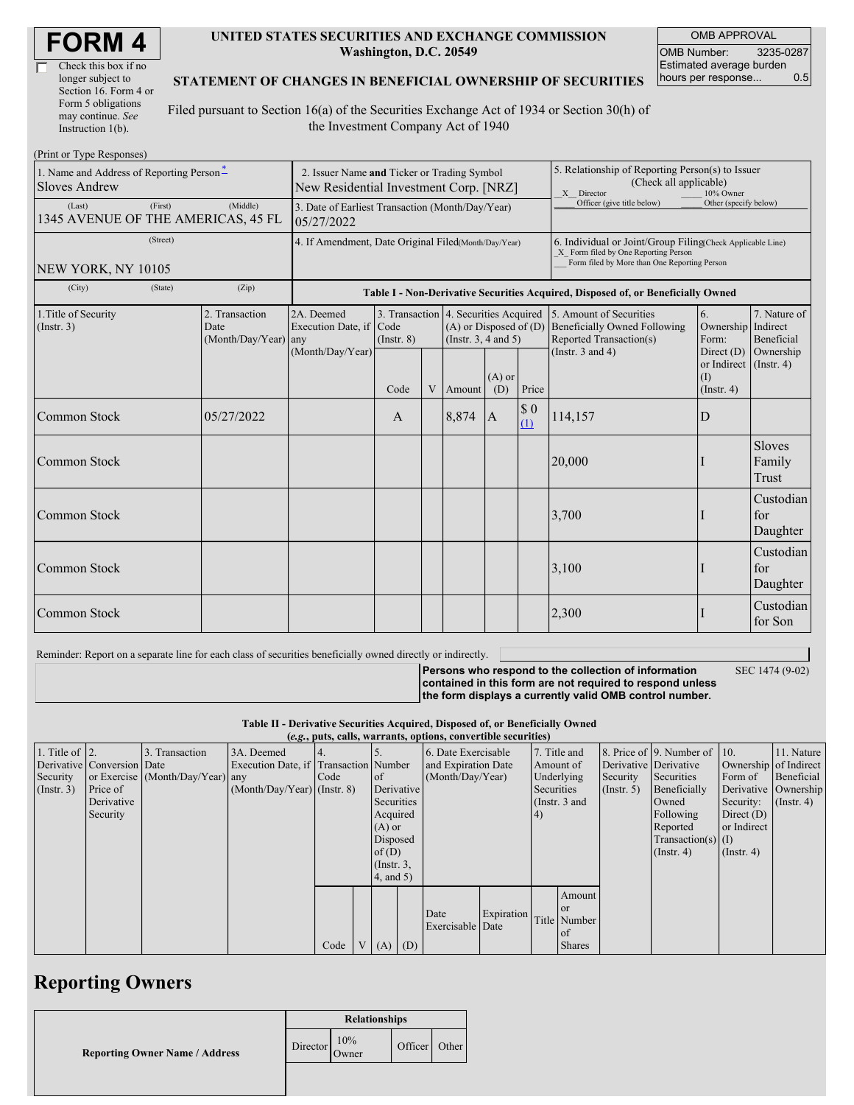| <b>FORM4</b> |
|--------------|
|--------------|

| Check this box if no  |
|-----------------------|
| longer subject to     |
| Section 16. Form 4 or |
| Form 5 obligations    |
| may continue. See     |
| Instruction 1(b).     |

#### **UNITED STATES SECURITIES AND EXCHANGE COMMISSION Washington, D.C. 20549**

OMB APPROVAL OMB Number: 3235-0287 Estimated average burden hours per response... 0.5

#### **STATEMENT OF CHANGES IN BENEFICIAL OWNERSHIP OF SECURITIES**

Filed pursuant to Section 16(a) of the Securities Exchange Act of 1934 or Section 30(h) of the Investment Company Act of 1940

| (Print or Type Responses)                                                         |                                                                                       |                                                                  |                                                                                  |      |                                                                                                 |        |                                                                                                       |                                                                                                             |                                                                                                                                                    |                                         |                              |  |  |
|-----------------------------------------------------------------------------------|---------------------------------------------------------------------------------------|------------------------------------------------------------------|----------------------------------------------------------------------------------|------|-------------------------------------------------------------------------------------------------|--------|-------------------------------------------------------------------------------------------------------|-------------------------------------------------------------------------------------------------------------|----------------------------------------------------------------------------------------------------------------------------------------------------|-----------------------------------------|------------------------------|--|--|
| 1. Name and Address of Reporting Person-<br><b>Sloves Andrew</b>                  | 2. Issuer Name and Ticker or Trading Symbol<br>New Residential Investment Corp. [NRZ] |                                                                  |                                                                                  |      |                                                                                                 |        | 5. Relationship of Reporting Person(s) to Issuer<br>(Check all applicable)<br>X Director<br>10% Owner |                                                                                                             |                                                                                                                                                    |                                         |                              |  |  |
| (Last)<br>1345 AVENUE OF THE AMERICAS, 45 FL                                      | 3. Date of Earliest Transaction (Month/Day/Year)<br>05/27/2022                        |                                                                  |                                                                                  |      |                                                                                                 |        | Officer (give title below)                                                                            | Other (specify below)                                                                                       |                                                                                                                                                    |                                         |                              |  |  |
| (Street)<br>NEW YORK, NY 10105                                                    |                                                                                       |                                                                  | 4. If Amendment, Date Original Filed(Month/Day/Year)                             |      |                                                                                                 |        |                                                                                                       |                                                                                                             | 6. Individual or Joint/Group Filing(Check Applicable Line)<br>X Form filed by One Reporting Person<br>Form filed by More than One Reporting Person |                                         |                              |  |  |
| (City)                                                                            | (State)                                                                               | (Zip)                                                            | Table I - Non-Derivative Securities Acquired, Disposed of, or Beneficially Owned |      |                                                                                                 |        |                                                                                                       |                                                                                                             |                                                                                                                                                    |                                         |                              |  |  |
| 2. Transaction<br>1. Title of Security<br>(Insert. 3)<br>Date<br>(Month/Day/Year) |                                                                                       | 2A. Deemed<br>Execution Date, if Code<br>any<br>(Month/Day/Year) | $($ Instr. $8)$                                                                  |      | 3. Transaction 4. Securities Acquired<br>$(A)$ or Disposed of $(D)$<br>(Instr. $3, 4$ and $5$ ) |        |                                                                                                       | 5. Amount of Securities<br>Beneficially Owned Following<br>Reported Transaction(s)<br>(Instr. $3$ and $4$ ) | 6.<br>Ownership Indirect<br>Form:<br>Direct $(D)$                                                                                                  | 7. Nature of<br>Beneficial<br>Ownership |                              |  |  |
|                                                                                   |                                                                                       |                                                                  |                                                                                  | Code | $\mathbf V$                                                                                     | Amount | $(A)$ or<br>(D)                                                                                       | Price                                                                                                       |                                                                                                                                                    | or Indirect<br>(I)<br>$($ Instr. 4 $)$  | $($ Instr. 4 $)$             |  |  |
| Common Stock                                                                      |                                                                                       | 05/27/2022                                                       |                                                                                  | A    |                                                                                                 | 8,874  | $\mathbf{A}$                                                                                          | $\$$ 0<br>(1)                                                                                               | 114,157                                                                                                                                            | D                                       |                              |  |  |
| Common Stock                                                                      |                                                                                       |                                                                  |                                                                                  |      |                                                                                                 |        |                                                                                                       |                                                                                                             | 20,000                                                                                                                                             |                                         | Sloves<br>Family<br>Trust    |  |  |
| Common Stock                                                                      |                                                                                       |                                                                  |                                                                                  |      |                                                                                                 |        |                                                                                                       |                                                                                                             | 3,700                                                                                                                                              |                                         | Custodian<br>for<br>Daughter |  |  |
| Common Stock                                                                      |                                                                                       |                                                                  |                                                                                  |      |                                                                                                 |        |                                                                                                       |                                                                                                             | 3,100                                                                                                                                              |                                         | Custodian<br>for<br>Daughter |  |  |
| Common Stock                                                                      |                                                                                       |                                                                  |                                                                                  |      |                                                                                                 |        |                                                                                                       |                                                                                                             | 2,300                                                                                                                                              |                                         | Custodian<br>for Son         |  |  |

Reminder: Report on a separate line for each class of securities beneficially owned directly or indirectly.

SEC 1474 (9-02)

**Persons who respond to the collection of information contained in this form are not required to respond unless the form displays a currently valid OMB control number.**

**Table II - Derivative Securities Acquired, Disposed of, or Beneficially Owned**

| (e.g., puts, calls, warrants, options, convertible securities) |                            |                                  |                                       |      |  |                 |                     |                     |            |                 |                       |                      |                              |                       |                  |
|----------------------------------------------------------------|----------------------------|----------------------------------|---------------------------------------|------|--|-----------------|---------------------|---------------------|------------|-----------------|-----------------------|----------------------|------------------------------|-----------------------|------------------|
| 1. Title of $\vert$ 2.                                         |                            | 3. Transaction                   | 3A. Deemed                            |      |  |                 |                     | 6. Date Exercisable |            |                 | 7. Title and          |                      | 8. Price of 9. Number of 10. |                       | 11. Nature       |
|                                                                | Derivative Conversion Date |                                  | Execution Date, if Transaction Number |      |  |                 | and Expiration Date |                     | Amount of  |                 | Derivative Derivative |                      |                              | Ownership of Indirect |                  |
| Security                                                       |                            | or Exercise (Month/Day/Year) any |                                       | Code |  | of of           |                     | (Month/Day/Year)    |            |                 | Underlying            | Security             | Securities                   | Form of               | Beneficial       |
| (Insert. 3)                                                    | Price of                   |                                  | $(Month/Day/Year)$ (Instr. 8)         |      |  | Derivative      |                     |                     | Securities |                 | $($ Instr. 5 $)$      | Beneficially         |                              | Derivative Ownership  |                  |
|                                                                | Derivative                 |                                  |                                       |      |  | Securities      |                     |                     |            | (Instr. $3$ and |                       |                      | Owned                        | Security:             | $($ Instr. 4 $)$ |
|                                                                | Security                   |                                  |                                       |      |  | Acquired        |                     |                     |            | $\vert 4)$      |                       |                      | Following                    | Direct $(D)$          |                  |
|                                                                |                            |                                  |                                       |      |  | $(A)$ or        |                     |                     |            |                 |                       |                      | Reported                     | or Indirect           |                  |
|                                                                |                            |                                  |                                       |      |  | Disposed        |                     |                     |            |                 |                       | Transaction(s) $(I)$ |                              |                       |                  |
|                                                                |                            |                                  |                                       |      |  | of(D)           |                     |                     |            |                 |                       |                      | $($ Instr. 4 $)$             | $($ Instr. 4 $)$      |                  |
|                                                                |                            |                                  |                                       |      |  | $($ Instr. $3,$ |                     |                     |            |                 |                       |                      |                              |                       |                  |
|                                                                |                            |                                  |                                       |      |  | 4, and 5)       |                     |                     |            |                 |                       |                      |                              |                       |                  |
|                                                                |                            |                                  |                                       |      |  |                 |                     |                     |            |                 | Amount                |                      |                              |                       |                  |
|                                                                |                            |                                  |                                       |      |  |                 |                     |                     |            |                 | <b>or</b>             |                      |                              |                       |                  |
|                                                                |                            |                                  |                                       |      |  |                 |                     | Date                | Expiration |                 | Title Number          |                      |                              |                       |                  |
|                                                                |                            |                                  |                                       |      |  |                 |                     | Exercisable Date    |            |                 | of                    |                      |                              |                       |                  |
|                                                                |                            |                                  |                                       | Code |  |                 | $V(A)$ (D)          |                     |            |                 | <b>Shares</b>         |                      |                              |                       |                  |

## **Reporting Owners**

|                                       | <b>Relationships</b> |              |               |  |  |
|---------------------------------------|----------------------|--------------|---------------|--|--|
| <b>Reporting Owner Name / Address</b> | Director             | 10%<br>Owner | Officer Other |  |  |
|                                       |                      |              |               |  |  |